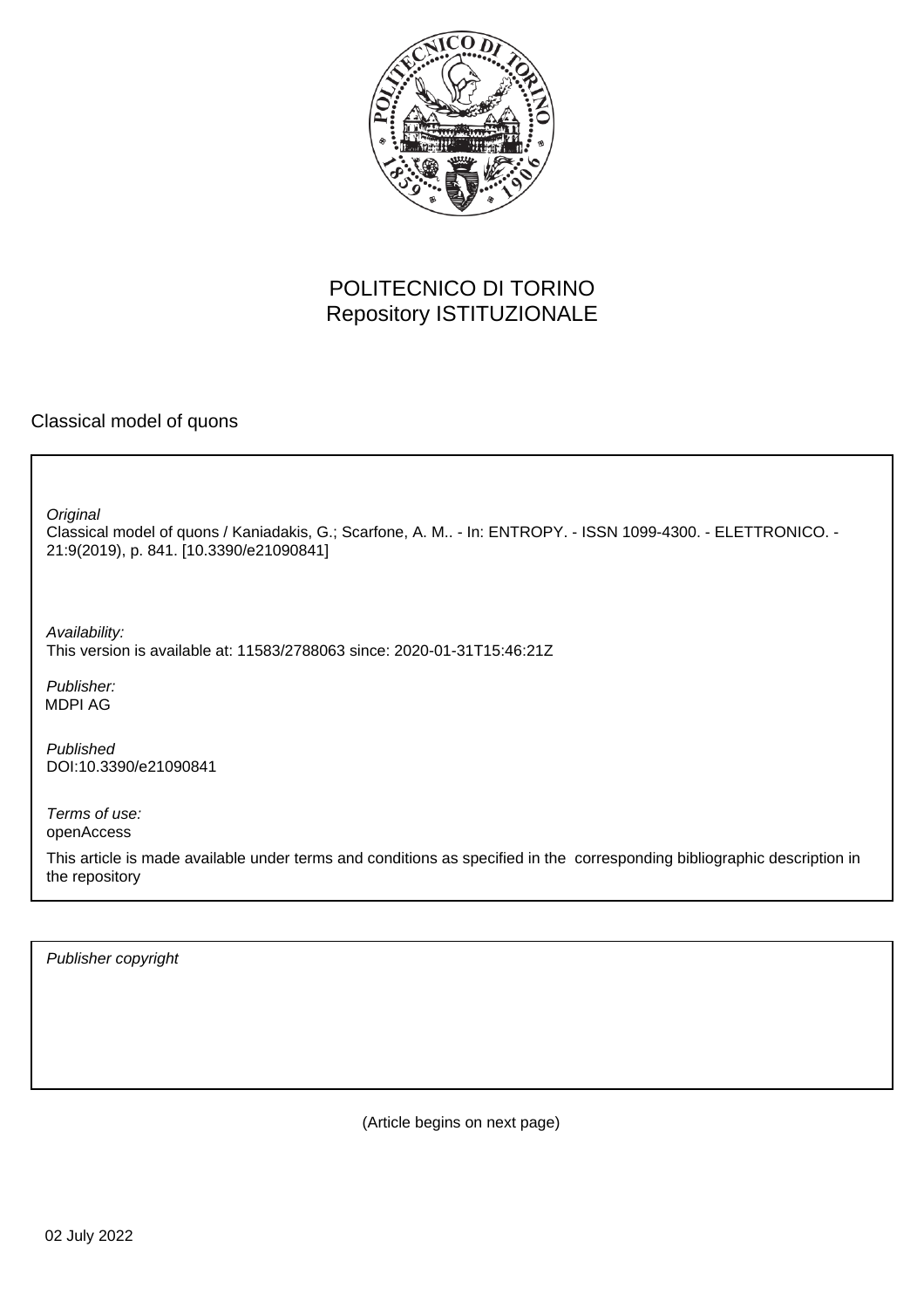

# POLITECNICO DI TORINO Repository ISTITUZIONALE

Classical model of quons

Classical model of quons / Kaniadakis, G.; Scarfone, A. M.. - In: ENTROPY. - ISSN 1099-4300. - ELETTRONICO. - 21:9(2019), p. 841. [10.3390/e21090841] **Original** 

Availability: This version is available at: 11583/2788063 since: 2020-01-31T15:46:21Z

Publisher: MDPI AG

Published DOI:10.3390/e21090841

Terms of use: openAccess

This article is made available under terms and conditions as specified in the corresponding bibliographic description in the repository

Publisher copyright

(Article begins on next page)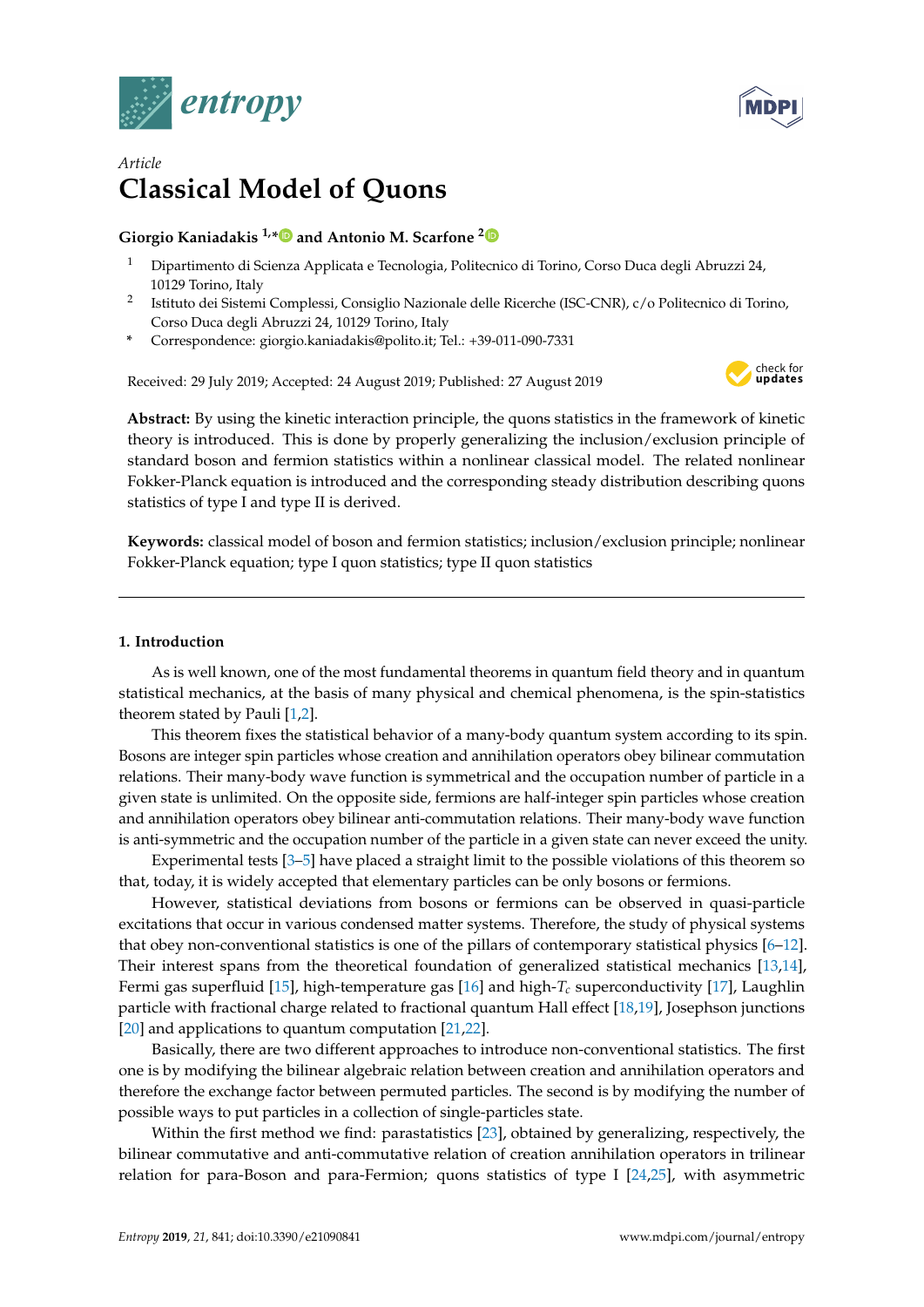



# *Article* **Classical Model of Quons**

# **Giorgio Kaniadakis 1,[\\*](https://orcid.org/0000-0003-0379-4435) and Antonio M. Scarfone [2](https://orcid.org/0000-0001-6699-5889)**

- <sup>1</sup> Dipartimento di Scienza Applicata e Tecnologia, Politecnico di Torino, Corso Duca degli Abruzzi 24, 10129 Torino, Italy
- 2 Istituto dei Sistemi Complessi, Consiglio Nazionale delle Ricerche (ISC-CNR), c/o Politecnico di Torino, Corso Duca degli Abruzzi 24, 10129 Torino, Italy
- **\*** Correspondence: giorgio.kaniadakis@polito.it; Tel.: +39-011-090-7331

Received: 29 July 2019; Accepted: 24 August 2019; Published: 27 August 2019



**Abstract:** By using the kinetic interaction principle, the quons statistics in the framework of kinetic theory is introduced. This is done by properly generalizing the inclusion/exclusion principle of standard boson and fermion statistics within a nonlinear classical model. The related nonlinear Fokker-Planck equation is introduced and the corresponding steady distribution describing quons statistics of type I and type II is derived.

**Keywords:** classical model of boson and fermion statistics; inclusion/exclusion principle; nonlinear Fokker-Planck equation; type I quon statistics; type II quon statistics

# **1. Introduction**

As is well known, one of the most fundamental theorems in quantum field theory and in quantum statistical mechanics, at the basis of many physical and chemical phenomena, is the spin-statistics theorem stated by Pauli [1,2].

This theorem fixes the statistical behavior of a many-body quantum system according to its spin. Bosons are integer spin particles whose creation and annihilation operators obey bilinear commutation relations. Their many-body wave function is symmetrical and the occupation number of particle in a given state is unlimited. On the opposite side, fermions are half-integer spin particles whose creation and annihilation operators obey bilinear anti-commutation relations. Their many-body wave function is anti-symmetric and the occupation number of the particle in a given state can never exceed the unity.

Experimental tests [3–5] have placed a straight limit to the possible violations of this theorem so that, today, it is widely accepted that elementary particles can be only bosons or fermions.

However, statistical deviations from bosons or fermions can be observed in quasi-particle excitations that occur in various condensed matter systems. Therefore, the study of physical systems that obey non-conventional statistics is one of the pillars of contemporary statistical physics [6–12]. Their interest spans from the theoretical foundation of generalized statistical mechanics [13,14], Fermi gas superfluid [15], high-temperature gas [16] and high-*T<sup>c</sup>* superconductivity [17], Laughlin particle with fractional charge related to fractional quantum Hall effect [18,19], Josephson junctions [20] and applications to quantum computation [21,22].

Basically, there are two different approaches to introduce non-conventional statistics. The first one is by modifying the bilinear algebraic relation between creation and annihilation operators and therefore the exchange factor between permuted particles. The second is by modifying the number of possible ways to put particles in a collection of single-particles state.

Within the first method we find: parastatistics [23], obtained by generalizing, respectively, the bilinear commutative and anti-commutative relation of creation annihilation operators in trilinear relation for para-Boson and para-Fermion; quons statistics of type I [24,25], with asymmetric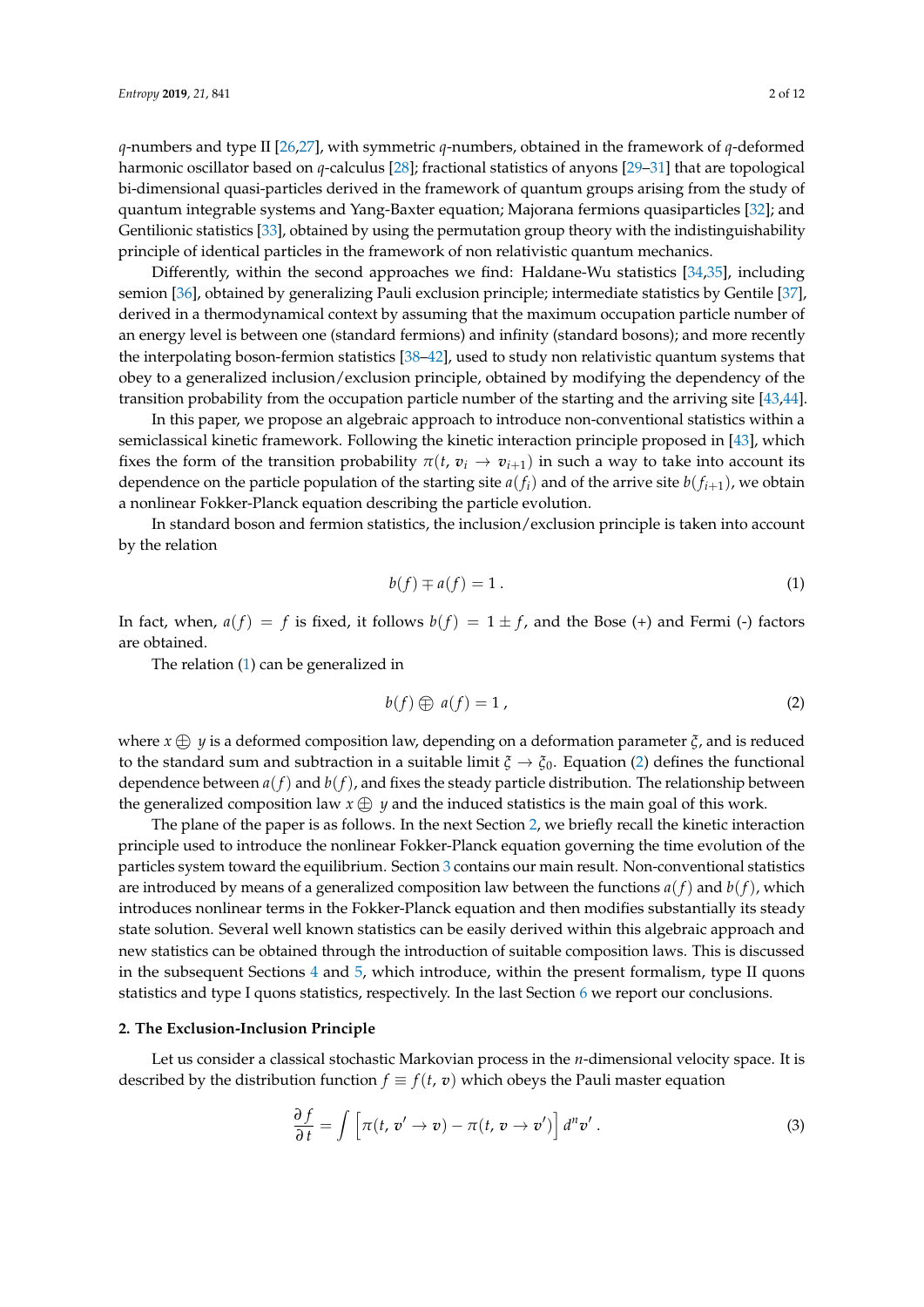*q*-numbers and type II [26,27], with symmetric *q*-numbers, obtained in the framework of *q*-deformed harmonic oscillator based on *q*-calculus [28]; fractional statistics of anyons [29–31] that are topological bi-dimensional quasi-particles derived in the framework of quantum groups arising from the study of quantum integrable systems and Yang-Baxter equation; Majorana fermions quasiparticles [32]; and Gentilionic statistics [33], obtained by using the permutation group theory with the indistinguishability principle of identical particles in the framework of non relativistic quantum mechanics.

Differently, within the second approaches we find: Haldane-Wu statistics [34,35], including semion [36], obtained by generalizing Pauli exclusion principle; intermediate statistics by Gentile [37], derived in a thermodynamical context by assuming that the maximum occupation particle number of an energy level is between one (standard fermions) and infinity (standard bosons); and more recently the interpolating boson-fermion statistics [38–42], used to study non relativistic quantum systems that obey to a generalized inclusion/exclusion principle, obtained by modifying the dependency of the transition probability from the occupation particle number of the starting and the arriving site [43,44].

In this paper, we propose an algebraic approach to introduce non-conventional statistics within a semiclassical kinetic framework. Following the kinetic interaction principle proposed in [43], which fixes the form of the transition probability  $\pi(t, v_i \rightarrow v_{i+1})$  in such a way to take into account its dependence on the particle population of the starting site  $a(f_i)$  and of the arrive site  $b(f_{i+1})$ , we obtain a nonlinear Fokker-Planck equation describing the particle evolution.

In standard boson and fermion statistics, the inclusion/exclusion principle is taken into account by the relation

$$
b(f) \mp a(f) = 1.
$$
 (1)

In fact, when,  $a(f) = f$  is fixed, it follows  $b(f) = 1 \pm f$ , and the Bose (+) and Fermi (-) factors are obtained.

The relation (1) can be generalized in

$$
b(f) \bigoplus a(f) = 1 \tag{2}
$$

where  $x \oplus y$  is a deformed composition law, depending on a deformation parameter  $\xi$ , and is reduced to the standard sum and subtraction in a suitable limit  $\xi \to \xi_0$ . Equation (2) defines the functional dependence between *a*(*f*) and *b*(*f*), and fixes the steady particle distribution. The relationship between the generalized composition law  $x \oplus y$  and the induced statistics is the main goal of this work.

The plane of the paper is as follows. In the next Section 2, we briefly recall the kinetic interaction principle used to introduce the nonlinear Fokker-Planck equation governing the time evolution of the particles system toward the equilibrium. Section 3 contains our main result. Non-conventional statistics are introduced by means of a generalized composition law between the functions *a*(*f*) and *b*(*f*), which introduces nonlinear terms in the Fokker-Planck equation and then modifies substantially its steady state solution. Several well known statistics can be easily derived within this algebraic approach and new statistics can be obtained through the introduction of suitable composition laws. This is discussed in the subsequent Sections  $4$  and  $5$ , which introduce, within the present formalism, type II quons statistics and type I quons statistics, respectively. In the last Section 6 we report our conclusions.

### **2. The Exclusion-Inclusion Principle**

Let us consider a classical stochastic Markovian process in the *n*-dimensional velocity space. It is described by the distribution function  $f \equiv f(t, v)$  which obeys the Pauli master equation

$$
\frac{\partial f}{\partial t} = \int \left[ \pi(t, v' \to v) - \pi(t, v \to v') \right] d^n v' \,. \tag{3}
$$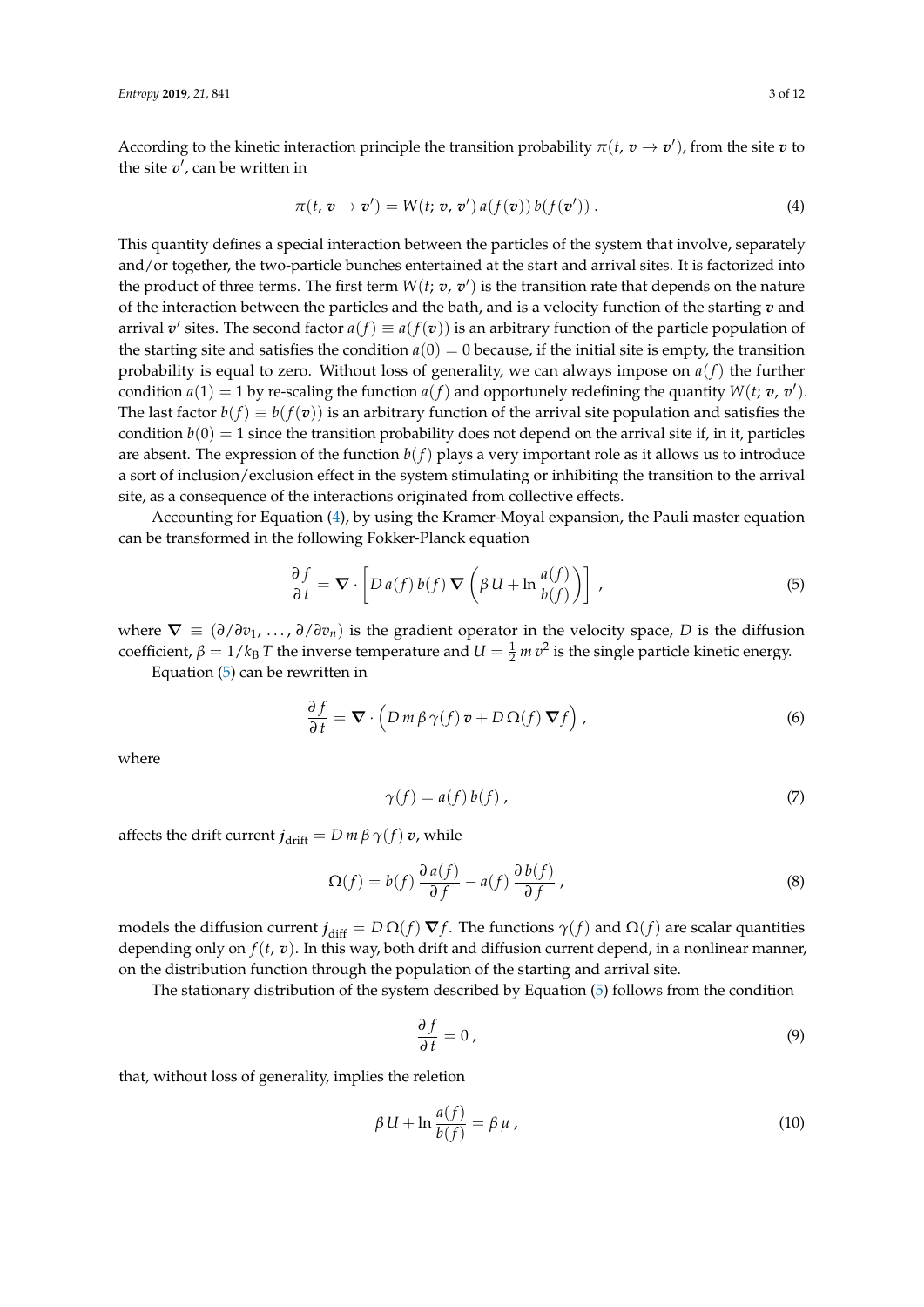According to the kinetic interaction principle the transition probability  $\pi(t, v \to v')$ , from the site  $v$  to the site  $v'$ , can be written in

$$
\pi(t, v \to v') = W(t; v, v') a(f(v)) b(f(v')). \qquad (4)
$$

This quantity defines a special interaction between the particles of the system that involve, separately and/or together, the two-particle bunches entertained at the start and arrival sites. It is factorized into the product of three terms. The first term  $W(t; v, v')$  is the transition rate that depends on the nature of the interaction between the particles and the bath, and is a velocity function of the starting *v* and arrival  $v'$  sites. The second factor  $a(f) \equiv a(f(v))$  is an arbitrary function of the particle population of the starting site and satisfies the condition  $a(0) = 0$  because, if the initial site is empty, the transition probability is equal to zero. Without loss of generality, we can always impose on *a*(*f*) the further condition  $a(1) = 1$  by re-scaling the function  $a(f)$  and opportunely redefining the quantity  $W(t; v, v')$ . The last factor  $b(f) \equiv b(f(v))$  is an arbitrary function of the arrival site population and satisfies the condition  $b(0) = 1$  since the transition probability does not depend on the arrival site if, in it, particles are absent. The expression of the function  $b(f)$  plays a very important role as it allows us to introduce a sort of inclusion/exclusion effect in the system stimulating or inhibiting the transition to the arrival site, as a consequence of the interactions originated from collective effects.

Accounting for Equation (4), by using the Kramer-Moyal expansion, the Pauli master equation can be transformed in the following Fokker-Planck equation

$$
\frac{\partial f}{\partial t} = \mathbf{\nabla} \cdot \left[ D a(f) b(f) \mathbf{\nabla} \left( \beta U + \ln \frac{a(f)}{b(f)} \right) \right],
$$
\n(5)

where  $\nabla \equiv (\partial/\partial v_1, \dots, \partial/\partial v_n)$  is the gradient operator in the velocity space, *D* is the diffusion coefficient,  $\beta = 1/k_B T$  the inverse temperature and  $U = \frac{1}{2} m v^2$  is the single particle kinetic energy.

Equation (5) can be rewritten in

$$
\frac{\partial f}{\partial t} = \nabla \cdot \left( D \, m \, \beta \, \gamma(f) \, v + D \, \Omega(f) \, \nabla f \right),\tag{6}
$$

where

$$
\gamma(f) = a(f) b(f) , \qquad (7)
$$

affects the drift current  $j_{\text{drift}} = D m \beta \gamma(f) v$ , while

$$
\Omega(f) = b(f) \frac{\partial a(f)}{\partial f} - a(f) \frac{\partial b(f)}{\partial f}, \qquad (8)
$$

models the diffusion current  $j_{\text{diff}} = D \Omega(f) \nabla f$ . The functions  $\gamma(f)$  and  $\Omega(f)$  are scalar quantities depending only on *f*(*t*, *v*). In this way, both drift and diffusion current depend, in a nonlinear manner, on the distribution function through the population of the starting and arrival site.

The stationary distribution of the system described by Equation (5) follows from the condition

$$
\frac{\partial f}{\partial t} = 0 \,, \tag{9}
$$

that, without loss of generality, implies the reletion

$$
\beta U + \ln \frac{a(f)}{b(f)} = \beta \mu \tag{10}
$$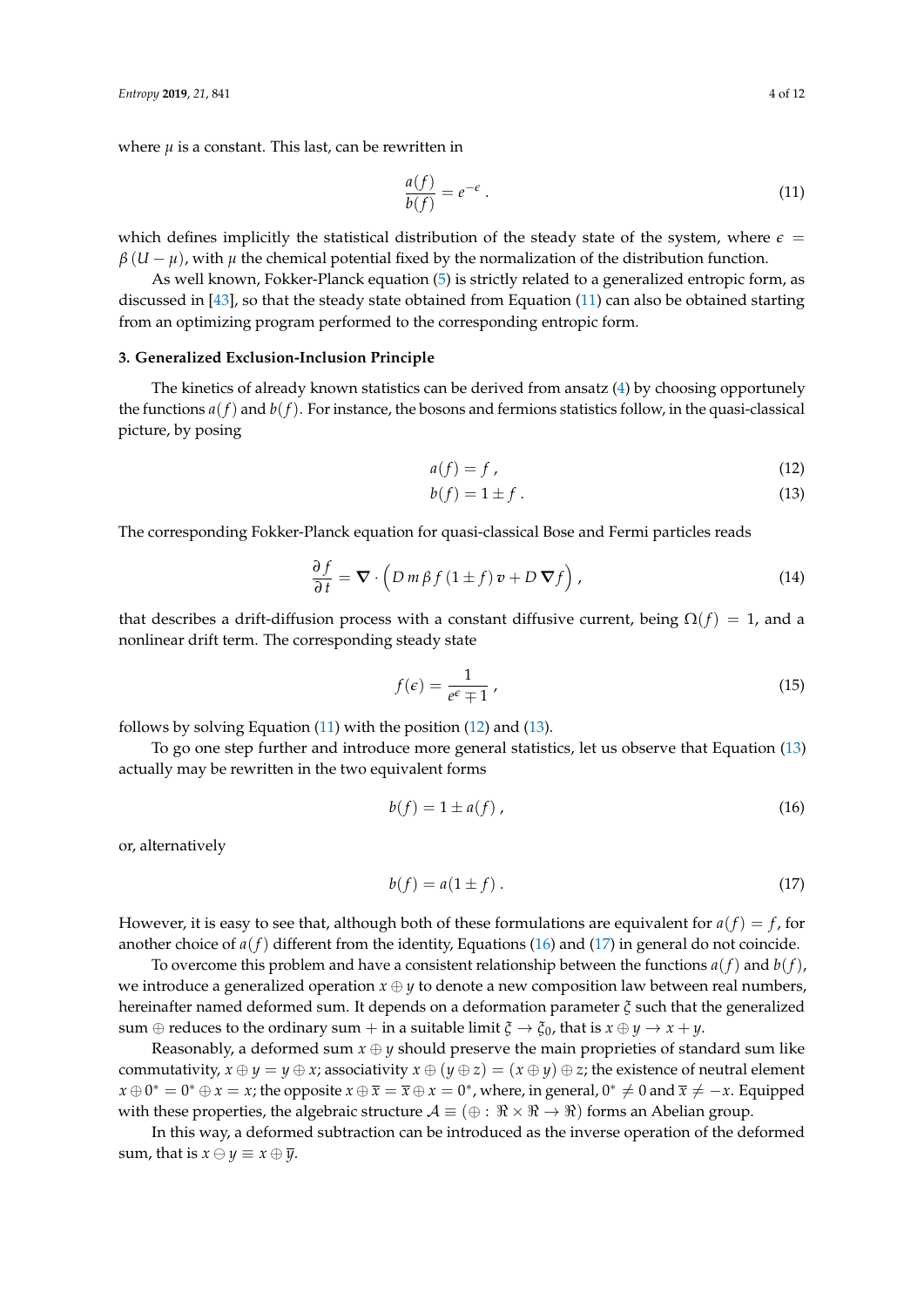where  $\mu$  is a constant. This last, can be rewritten in

$$
\frac{a(f)}{b(f)} = e^{-\epsilon} \,. \tag{11}
$$

which defines implicitly the statistical distribution of the steady state of the system, where  $\epsilon$ *β* (*U* − *µ*), with *µ* the chemical potential fixed by the normalization of the distribution function.

As well known, Fokker-Planck equation (5) is strictly related to a generalized entropic form, as discussed in [43], so that the steady state obtained from Equation (11) can also be obtained starting from an optimizing program performed to the corresponding entropic form.

## **3. Generalized Exclusion-Inclusion Principle**

The kinetics of already known statistics can be derived from ansatz (4) by choosing opportunely the functions  $a(f)$  and  $b(f)$ . For instance, the bosons and fermions statistics follow, in the quasi-classical picture, by posing

$$
a(f) = f \tag{12}
$$

$$
b(f) = 1 \pm f. \tag{13}
$$

The corresponding Fokker-Planck equation for quasi-classical Bose and Fermi particles reads

$$
\frac{\partial f}{\partial t} = \mathbf{\nabla} \cdot \left( D \, m \, \beta \, f \left( 1 \pm f \right) \, v + D \, \mathbf{\nabla} f \right),\tag{14}
$$

that describes a drift-diffusion process with a constant diffusive current, being  $\Omega(f) = 1$ , and a nonlinear drift term. The corresponding steady state

$$
f(\epsilon) = \frac{1}{e^{\epsilon} \mp 1} \,,\tag{15}
$$

follows by solving Equation  $(11)$  with the position  $(12)$  and  $(13)$ .

To go one step further and introduce more general statistics, let us observe that Equation (13) actually may be rewritten in the two equivalent forms

$$
b(f) = 1 \pm a(f) \tag{16}
$$

or, alternatively

$$
b(f) = a(1 \pm f). \tag{17}
$$

However, it is easy to see that, although both of these formulations are equivalent for  $a(f) = f$ , for another choice of  $a(f)$  different from the identity, Equations (16) and (17) in general do not coincide.

To overcome this problem and have a consistent relationship between the functions  $a(f)$  and  $b(f)$ , we introduce a generalized operation  $x \oplus y$  to denote a new composition law between real numbers, hereinafter named deformed sum. It depends on a deformation parameter *ξ* such that the generalized sum  $\oplus$  reduces to the ordinary sum  $+$  in a suitable limit  $\xi \to \xi_0$ , that is  $x \oplus y \to x + y$ .

Reasonably, a deformed sum  $x \oplus y$  should preserve the main proprieties of standard sum like commutativity,  $x \oplus y = y \oplus x$ ; associativity  $x \oplus (y \oplus z) = (x \oplus y) \oplus z$ ; the existence of neutral element  $x \oplus 0^* = 0^* \oplus x = x$ ; the opposite  $x \oplus \overline{x} = \overline{x} \oplus x = 0^*$ , where, in general,  $0^* \neq 0$  and  $\overline{x} \neq -x$ . Equipped with these properties, the algebraic structure  $\mathcal{A} \equiv (\oplus : \Re \times \Re \rightarrow \Re)$  forms an Abelian group.

In this way, a deformed subtraction can be introduced as the inverse operation of the deformed sum, that is  $x \ominus y \equiv x \oplus \overline{y}$ .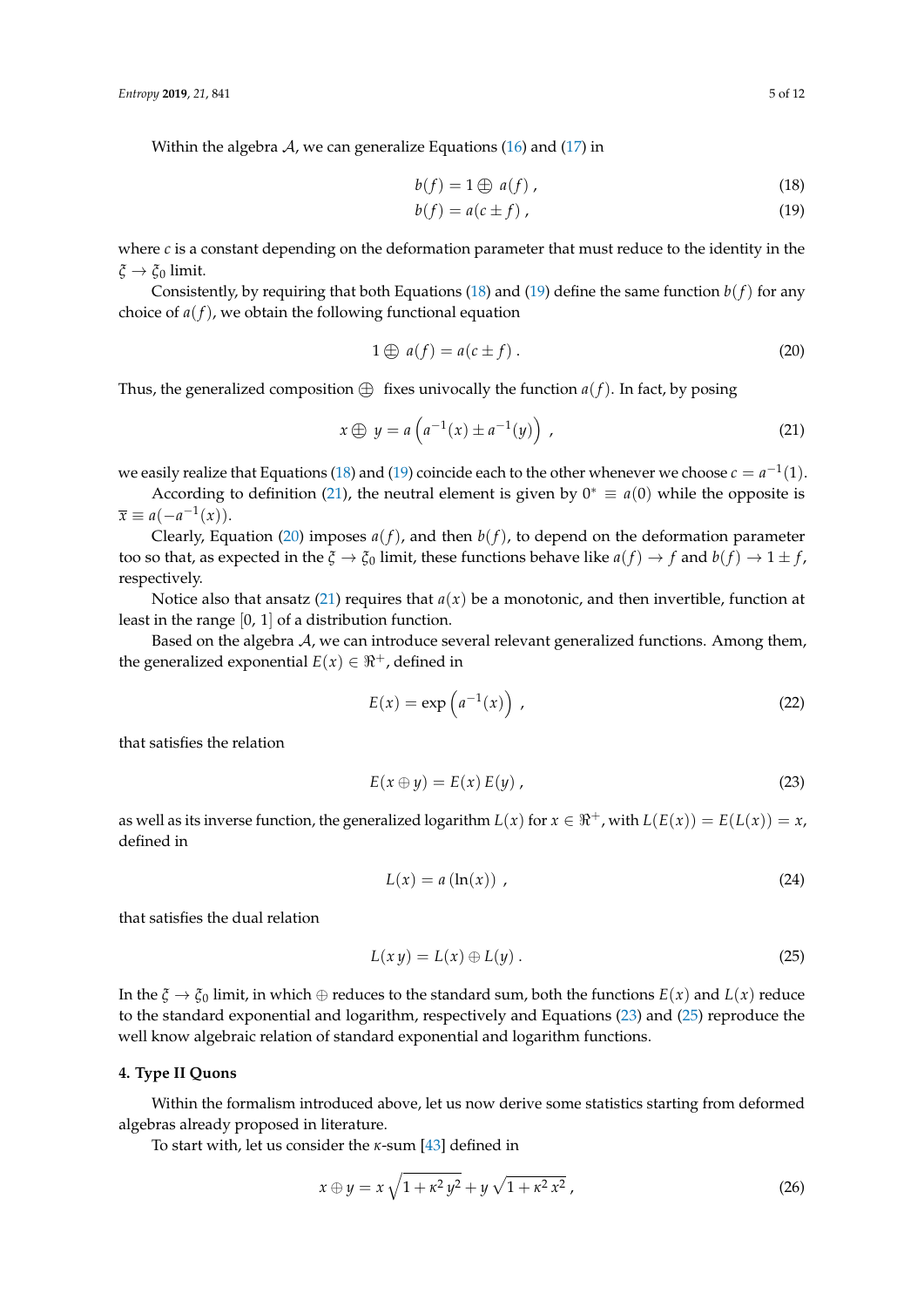Within the algebra  $A$ , we can generalize Equations (16) and (17) in

$$
b(f) = 1 \oplus a(f) \tag{18}
$$

$$
b(f) = a(c \pm f), \tag{19}
$$

where *c* is a constant depending on the deformation parameter that must reduce to the identity in the *ξ* → *ξ*<sup>0</sup> limit.

Consistently, by requiring that both Equations (18) and (19) define the same function  $b(f)$  for any choice of  $a(f)$ , we obtain the following functional equation

$$
1 \oplus a(f) = a(c \pm f). \tag{20}
$$

Thus, the generalized composition  $\bigoplus$  fixes univocally the function  $a(f)$ . In fact, by posing

$$
x \oplus y = a\left(a^{-1}(x) \pm a^{-1}(y)\right),\tag{21}
$$

we easily realize that Equations (18) and (19) coincide each to the other whenever we choose  $c = a^{-1}(1)$ .

According to definition (21), the neutral element is given by  $0^* \equiv a(0)$  while the opposite is  $\overline{x} \equiv a(-a^{-1}(x)).$ 

Clearly, Equation (20) imposes  $a(f)$ , and then  $b(f)$ , to depend on the deformation parameter too so that, as expected in the  $\xi \to \xi_0$  limit, these functions behave like  $a(f) \to f$  and  $b(f) \to 1 \pm f$ , respectively.

Notice also that ansatz (21) requires that  $a(x)$  be a monotonic, and then invertible, function at least in the range [0, 1] of a distribution function.

Based on the algebra  $A$ , we can introduce several relevant generalized functions. Among them, the generalized exponential  $E(x) \in \mathbb{R}^+$ , defined in

$$
E(x) = \exp\left(a^{-1}(x)\right),\tag{22}
$$

that satisfies the relation

$$
E(x \oplus y) = E(x) E(y), \qquad (23)
$$

as well as its inverse function, the generalized logarithm  $L(x)$  for  $x \in \mathbb{R}^+$ , with  $L(E(x)) = E(L(x)) = x$ , defined in

$$
L(x) = a(\ln(x)) \tag{24}
$$

that satisfies the dual relation

$$
L(xy) = L(x) \oplus L(y). \tag{25}
$$

In the  $\xi \to \xi_0$  limit, in which  $\oplus$  reduces to the standard sum, both the functions  $E(x)$  and  $L(x)$  reduce to the standard exponential and logarithm, respectively and Equations (23) and (25) reproduce the well know algebraic relation of standard exponential and logarithm functions.

# **4. Type II Quons**

Within the formalism introduced above, let us now derive some statistics starting from deformed algebras already proposed in literature.

To start with, let us consider the *κ*-sum [43] defined in

$$
x \oplus y = x \sqrt{1 + \kappa^2 y^2} + y \sqrt{1 + \kappa^2 x^2} \,, \tag{26}
$$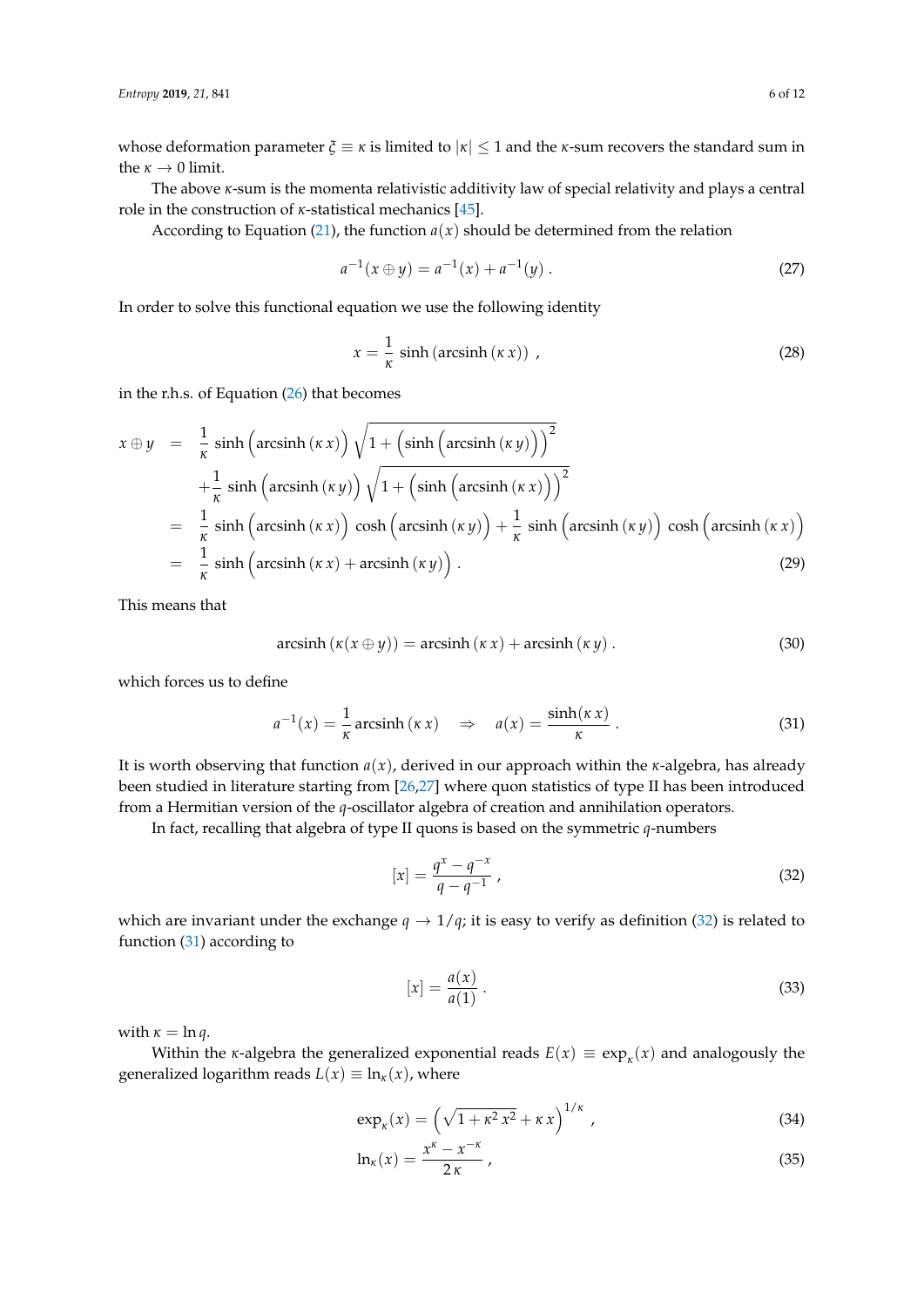whose deformation parameter  $\zeta \equiv \kappa$  is limited to  $|\kappa| \leq 1$  and the *κ*-sum recovers the standard sum in the  $\kappa \to 0$  limit.

The above *κ*-sum is the momenta relativistic additivity law of special relativity and plays a central role in the construction of *κ*-statistical mechanics [45].

According to Equation (21), the function  $a(x)$  should be determined from the relation

$$
a^{-1}(x \oplus y) = a^{-1}(x) + a^{-1}(y).
$$
 (27)

In order to solve this functional equation we use the following identity

$$
x = \frac{1}{\kappa} \sinh\left(\operatorname{arcsinh}\left(\kappa x\right)\right) \,,\tag{28}
$$

in the r.h.s. of Equation (26) that becomes

$$
x \oplus y = \frac{1}{\kappa} \sinh \left( \operatorname{arcsinh} \left( \kappa x \right) \right) \sqrt{1 + \left( \sinh \left( \operatorname{arcsinh} \left( \kappa y \right) \right) \right)^2} + \frac{1}{\kappa} \sinh \left( \operatorname{arcsinh} \left( \kappa y \right) \right) \sqrt{1 + \left( \sinh \left( \operatorname{arcsinh} \left( \kappa x \right) \right) \right)^2} = \frac{1}{\kappa} \sinh \left( \operatorname{arcsinh} \left( \kappa x \right) \right) \cosh \left( \operatorname{arcsinh} \left( \kappa y \right) \right) + \frac{1}{\kappa} \sinh \left( \operatorname{arcsinh} \left( \kappa y \right) \right) \cosh \left( \operatorname{arcsinh} \left( \kappa x \right) \right) = \frac{1}{\kappa} \sinh \left( \operatorname{arcsinh} \left( \kappa x \right) + \operatorname{arcsinh} \left( \kappa y \right) \right).
$$
\n(29)

This means that

$$
\operatorname{arcsinh}\left(\kappa(x\oplus y)\right) = \operatorname{arcsinh}\left(\kappa x\right) + \operatorname{arcsinh}\left(\kappa y\right). \tag{30}
$$

which forces us to define

$$
a^{-1}(x) = \frac{1}{\kappa} \operatorname{arcsinh}(\kappa x) \quad \Rightarrow \quad a(x) = \frac{\sinh(\kappa x)}{\kappa} \,. \tag{31}
$$

It is worth observing that function *a*(*x*), derived in our approach within the *κ*-algebra, has already been studied in literature starting from [26,27] where quon statistics of type II has been introduced from a Hermitian version of the *q*-oscillator algebra of creation and annihilation operators.

In fact, recalling that algebra of type II quons is based on the symmetric *q*-numbers

$$
[x] = \frac{q^x - q^{-x}}{q - q^{-1}} \,, \tag{32}
$$

which are invariant under the exchange  $q \to 1/q$ ; it is easy to verify as definition (32) is related to function (31) according to

$$
[x] = \frac{a(x)}{a(1)}.
$$
\n<sup>(33)</sup>

with  $\kappa = \ln q$ .

Within the *κ*-algebra the generalized exponential reads  $E(x) \equiv \exp_{\kappa}(x)$  and analogously the generalized logarithm reads  $L(x) \equiv \ln_{\kappa}(x)$ , where

$$
\exp_{\kappa}(x) = \left(\sqrt{1 + \kappa^2 x^2} + \kappa x\right)^{1/\kappa},\tag{34}
$$

$$
\ln_{\kappa}(x) = \frac{x^{\kappa} - x^{-\kappa}}{2\,\kappa} \,,\tag{35}
$$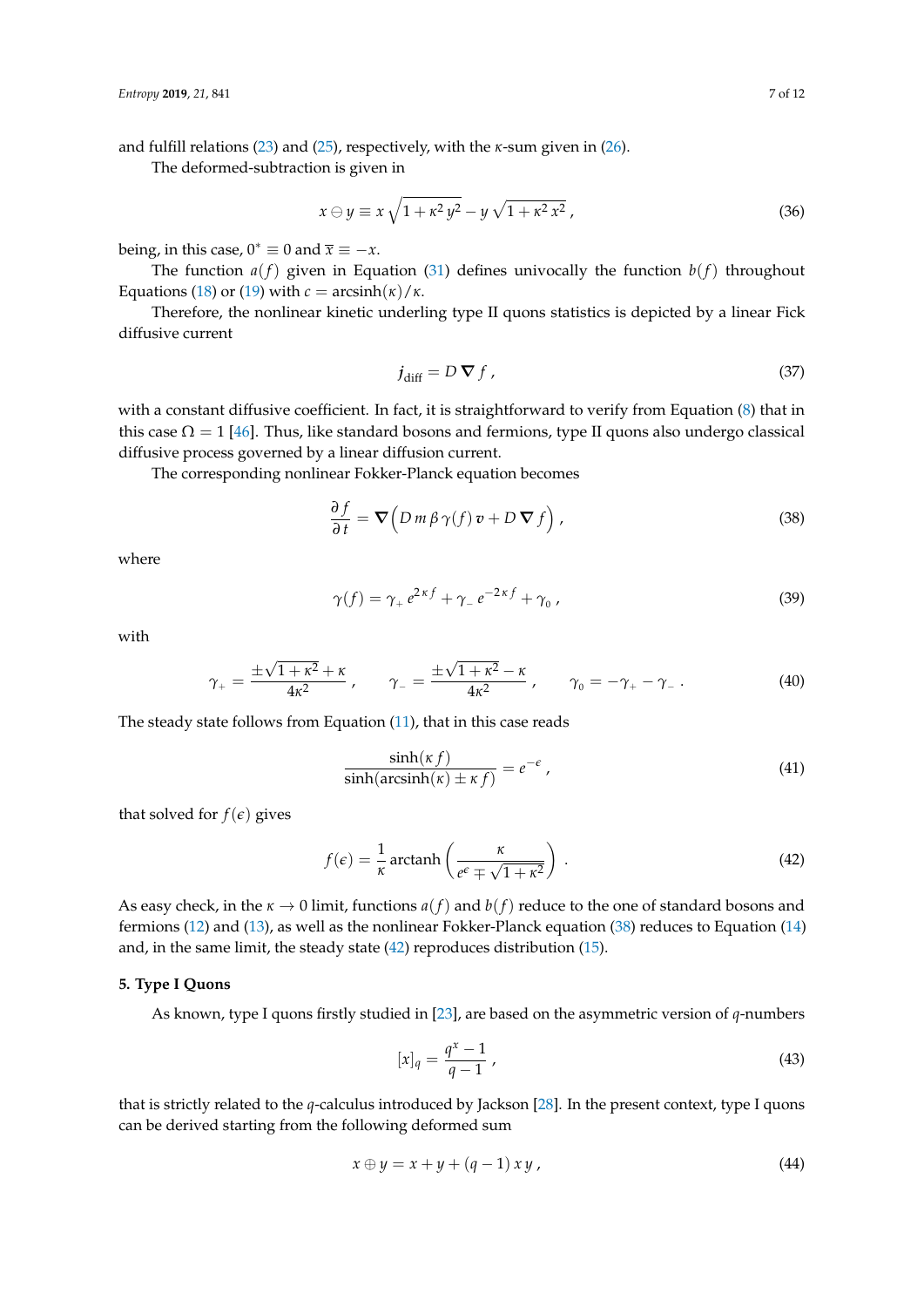and fulfill relations (23) and (25), respectively, with the *κ*-sum given in (26).

The deformed-subtraction is given in

$$
x \ominus y \equiv x \sqrt{1 + \kappa^2 y^2} - y \sqrt{1 + \kappa^2 x^2} \,, \tag{36}
$$

being, in this case,  $0^* \equiv 0$  and  $\bar{x} \equiv -x$ .

The function  $a(f)$  given in Equation (31) defines univocally the function  $b(f)$  throughout Equations (18) or (19) with  $c = \arcsinh(\kappa)/\kappa$ .

Therefore, the nonlinear kinetic underling type II quons statistics is depicted by a linear Fick diffusive current

$$
j_{\text{diff}} = D \, \nabla \, f \,, \tag{37}
$$

with a constant diffusive coefficient. In fact, it is straightforward to verify from Equation (8) that in this case  $\Omega = 1$  [46]. Thus, like standard bosons and fermions, type II quons also undergo classical diffusive process governed by a linear diffusion current.

The corresponding nonlinear Fokker-Planck equation becomes

$$
\frac{\partial f}{\partial t} = \mathbf{\nabla} \Big( D \, m \, \beta \, \gamma(f) \, v + D \, \mathbf{\nabla} \, f \Big) \,, \tag{38}
$$

where

$$
\gamma(f) = \gamma_+ e^{2\kappa f} + \gamma_- e^{-2\kappa f} + \gamma_0 \,, \tag{39}
$$

with

$$
\gamma_{+} = \frac{\pm\sqrt{1+\kappa^2}+\kappa}{4\kappa^2} \,, \qquad \gamma_{-} = \frac{\pm\sqrt{1+\kappa^2}-\kappa}{4\kappa^2} \,, \qquad \gamma_{0} = -\gamma_{+} - \gamma_{-} \,.
$$
 (40)

The steady state follows from Equation (11), that in this case reads

$$
\frac{\sinh(\kappa f)}{\sinh(\arcsinh(\kappa) \pm \kappa f)} = e^{-\epsilon},\tag{41}
$$

that solved for  $f(\epsilon)$  gives

$$
f(\epsilon) = \frac{1}{\kappa} \operatorname{arctanh}\left(\frac{\kappa}{e^{\epsilon} \mp \sqrt{1 + \kappa^2}}\right) \,. \tag{42}
$$

As easy check, in the  $\kappa \to 0$  limit, functions  $a(f)$  and  $b(f)$  reduce to the one of standard bosons and fermions (12) and (13), as well as the nonlinear Fokker-Planck equation (38) reduces to Equation (14) and, in the same limit, the steady state (42) reproduces distribution (15).

# **5. Type I Quons**

As known, type I quons firstly studied in [23], are based on the asymmetric version of *q*-numbers

$$
[x]_q = \frac{q^x - 1}{q - 1},
$$
\n(43)

that is strictly related to the *q*-calculus introduced by Jackson [28]. In the present context, type I quons can be derived starting from the following deformed sum

$$
x \oplus y = x + y + (q - 1)xy, \tag{44}
$$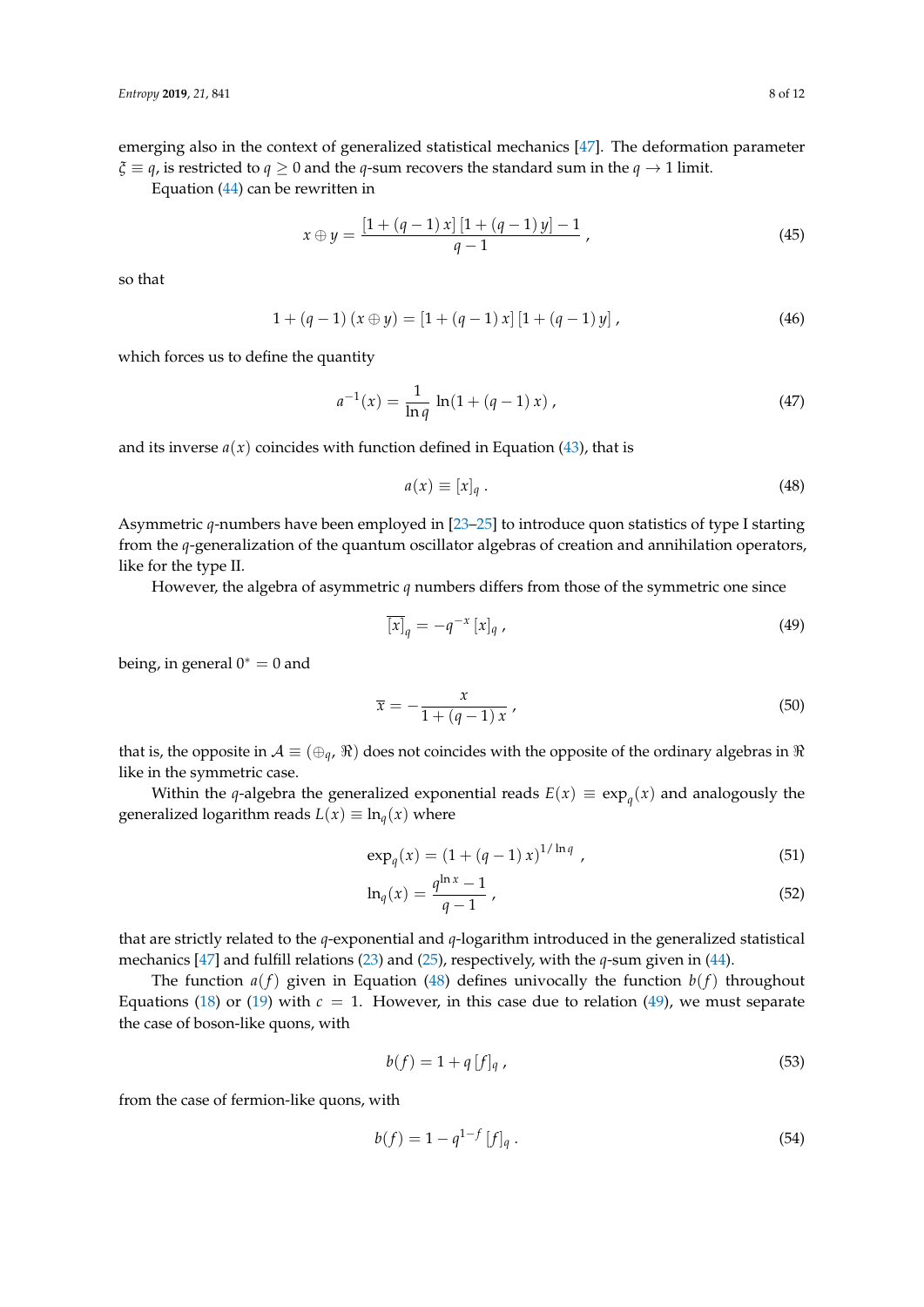emerging also in the context of generalized statistical mechanics [47]. The deformation parameter *ξ* ≡ *q*, is restricted to *q* ≥ 0 and the *q*-sum recovers the standard sum in the *q* → 1 limit.

Equation (44) can be rewritten in

$$
x \oplus y = \frac{[1 + (q-1)x][1 + (q-1)y] - 1}{q-1},
$$
\n(45)

so that

$$
1 + (q - 1) (x \oplus y) = [1 + (q - 1) x] [1 + (q - 1) y], \qquad (46)
$$

which forces us to define the quantity

$$
a^{-1}(x) = \frac{1}{\ln q} \ln(1 + (q - 1)x), \qquad (47)
$$

and its inverse  $a(x)$  coincides with function defined in Equation (43), that is

$$
a(x) \equiv [x]_q \,. \tag{48}
$$

Asymmetric *q*-numbers have been employed in [23–25] to introduce quon statistics of type I starting from the *q*-generalization of the quantum oscillator algebras of creation and annihilation operators, like for the type II.

However, the algebra of asymmetric *q* numbers differs from those of the symmetric one since

$$
\overline{[x]}_q = -q^{-x} [x]_q , \qquad (49)
$$

being, in general  $0^* = 0$  and

$$
\overline{x} = -\frac{x}{1 + (q - 1)x},\tag{50}
$$

that is, the opposite in  $A \equiv (\bigoplus_q R)$  does not coincides with the opposite of the ordinary algebras in  $\Re$ like in the symmetric case.

Within the *q*-algebra the generalized exponential reads  $E(x) \equiv \exp_q(x)$  and analogously the generalized logarithm reads  $L(x) \equiv \ln_q(x)$  where

$$
\exp_q(x) = (1 + (q - 1)x)^{1/\ln q}, \tag{51}
$$

$$
\ln_q(x) = \frac{q^{\ln x} - 1}{q - 1} \tag{52}
$$

that are strictly related to the *q*-exponential and *q*-logarithm introduced in the generalized statistical mechanics [47] and fulfill relations (23) and (25), respectively, with the *q*-sum given in (44).

The function  $a(f)$  given in Equation (48) defines univocally the function  $b(f)$  throughout Equations (18) or (19) with  $c = 1$ . However, in this case due to relation (49), we must separate the case of boson-like quons, with

$$
b(f) = 1 + q[f]_q \,, \tag{53}
$$

from the case of fermion-like quons, with

$$
b(f) = 1 - q^{1-f} [f]_q.
$$
\n(54)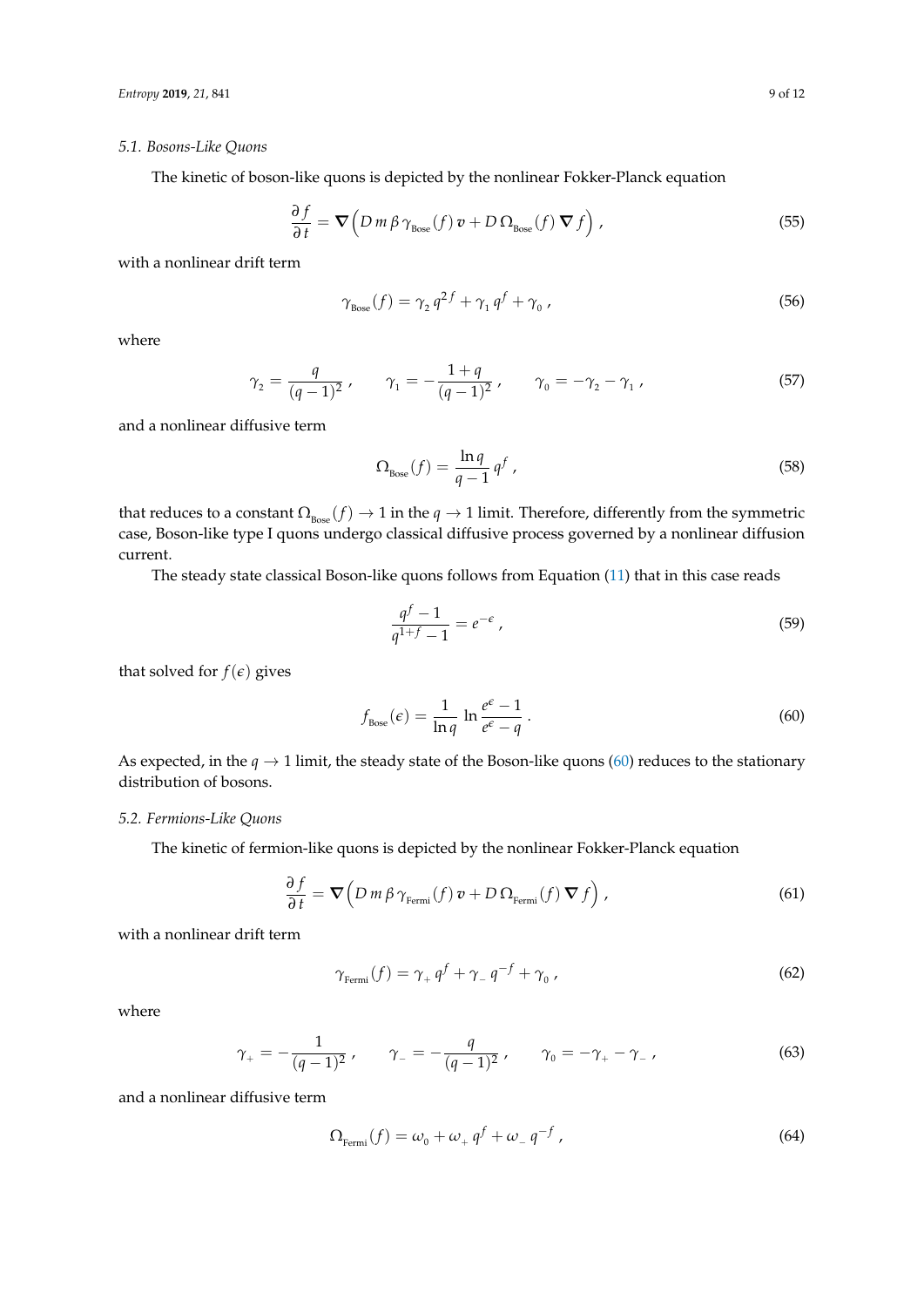### *5.1. Bosons-Like Quons*

The kinetic of boson-like quons is depicted by the nonlinear Fokker-Planck equation

$$
\frac{\partial f}{\partial t} = \mathbf{\nabla} \left( D \, m \, \beta \, \gamma_{\text{Bose}}(f) \, v + D \, \Omega_{\text{Bose}}(f) \, \mathbf{\nabla} \, f \right),\tag{55}
$$

with a nonlinear drift term

$$
\gamma_{\text{Bose}}(f) = \gamma_2 q^{2f} + \gamma_1 q^f + \gamma_0 \,,\tag{56}
$$

where

$$
\gamma_2 = \frac{q}{(q-1)^2}, \qquad \gamma_1 = -\frac{1+q}{(q-1)^2}, \qquad \gamma_0 = -\gamma_2 - \gamma_1 \tag{57}
$$

and a nonlinear diffusive term

$$
\Omega_{\text{Bose}}(f) = \frac{\ln q}{q - 1} q^f \,, \tag{58}
$$

that reduces to a constant  $\Omega_{Bose}(f) \to 1$  in the  $q \to 1$  limit. Therefore, differently from the symmetric case, Boson-like type I quons undergo classical diffusive process governed by a nonlinear diffusion current.

The steady state classical Boson-like quons follows from Equation (11) that in this case reads

$$
\frac{q^f - 1}{q^{1+f} - 1} = e^{-\epsilon} \,,\tag{59}
$$

that solved for  $f(\epsilon)$  gives

$$
f_{\text{Bose}}(\epsilon) = \frac{1}{\ln q} \ln \frac{e^{\epsilon} - 1}{e^{\epsilon} - q} \,. \tag{60}
$$

As expected, in the  $q \rightarrow 1$  limit, the steady state of the Boson-like quons (60) reduces to the stationary distribution of bosons.

#### *5.2. Fermions-Like Quons*

The kinetic of fermion-like quons is depicted by the nonlinear Fokker-Planck equation

$$
\frac{\partial f}{\partial t} = \mathbf{\nabla} \Big( D \, m \, \beta \, \gamma_{\text{Fermi}}(f) \, \mathbf{v} + D \, \Omega_{\text{Fermi}}(f) \, \mathbf{\nabla} \, f \Big) \,, \tag{61}
$$

with a nonlinear drift term

$$
\gamma_{\text{Fermi}}(f) = \gamma_+ q^f + \gamma_- q^{-f} + \gamma_0 \,, \tag{62}
$$

where

$$
\gamma_{+} = -\frac{1}{(q-1)^2} \,, \qquad \gamma_{-} = -\frac{q}{(q-1)^2} \,, \qquad \gamma_{0} = -\gamma_{+} - \gamma_{-} \,, \tag{63}
$$

and a nonlinear diffusive term

$$
\Omega_{\text{Fermi}}(f) = \omega_0 + \omega_+ q^f + \omega_- q^{-f} \tag{64}
$$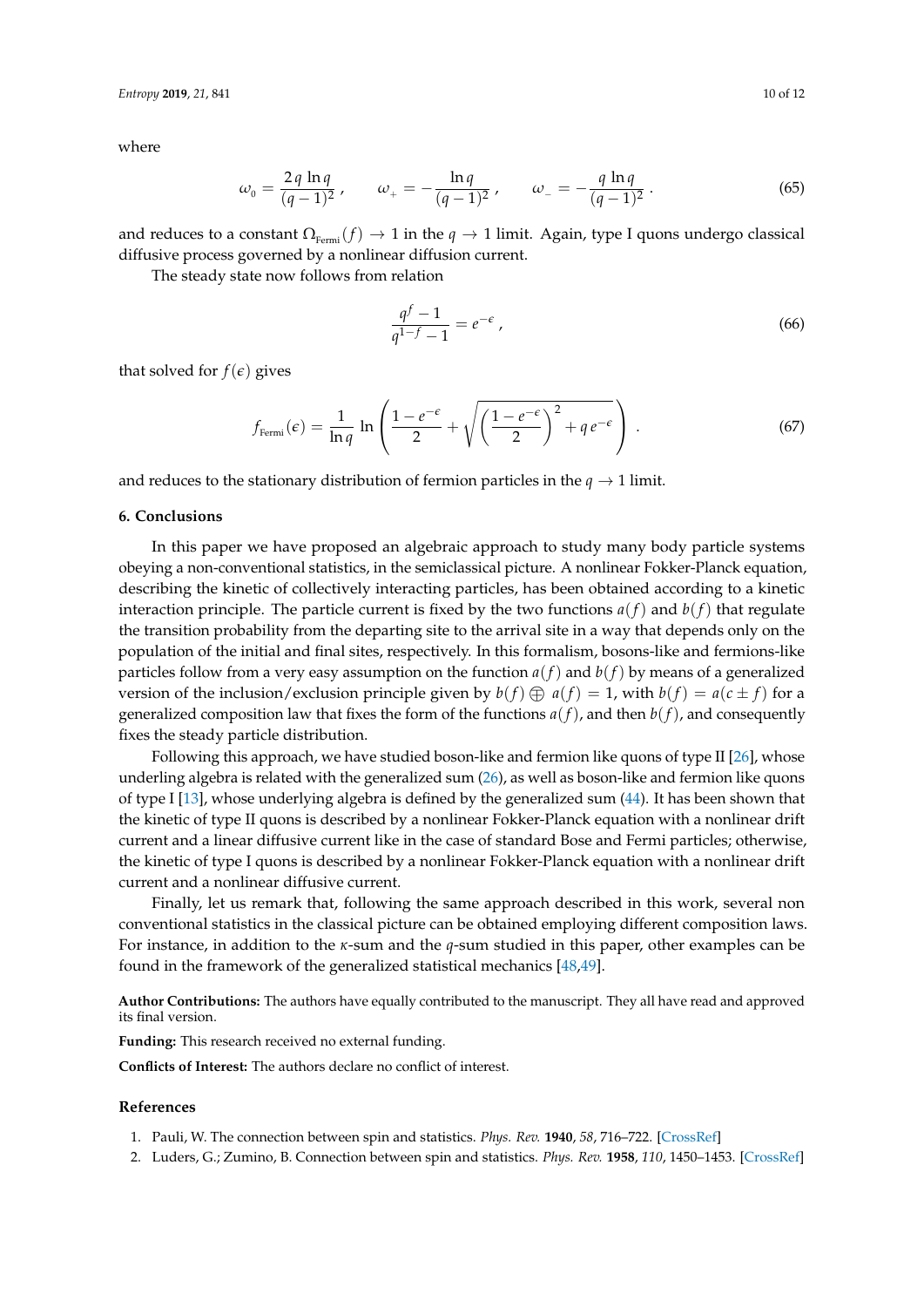### *Entropy* **2019**, *21*, 841 10 of 12

where

$$
\omega_0 = \frac{2q \ln q}{(q-1)^2}, \qquad \omega_+ = -\frac{\ln q}{(q-1)^2}, \qquad \omega_- = -\frac{q \ln q}{(q-1)^2}.
$$
 (65)

and reduces to a constant  $\Omega_{Fermi}(f) \to 1$  in the  $q \to 1$  limit. Again, type I quons undergo classical diffusive process governed by a nonlinear diffusion current.

The steady state now follows from relation

$$
\frac{q^f - 1}{q^{1-f} - 1} = e^{-\epsilon} \tag{66}
$$

that solved for  $f(\epsilon)$  gives

$$
f_{\text{Fermi}}(\epsilon) = \frac{1}{\ln q} \ln \left( \frac{1 - e^{-\epsilon}}{2} + \sqrt{\left(\frac{1 - e^{-\epsilon}}{2}\right)^2 + q e^{-\epsilon}} \right) . \tag{67}
$$

and reduces to the stationary distribution of fermion particles in the  $q \rightarrow 1$  limit.

### **6. Conclusions**

In this paper we have proposed an algebraic approach to study many body particle systems obeying a non-conventional statistics, in the semiclassical picture. A nonlinear Fokker-Planck equation, describing the kinetic of collectively interacting particles, has been obtained according to a kinetic interaction principle. The particle current is fixed by the two functions  $a(f)$  and  $b(f)$  that regulate the transition probability from the departing site to the arrival site in a way that depends only on the population of the initial and final sites, respectively. In this formalism, bosons-like and fermions-like particles follow from a very easy assumption on the function  $a(f)$  and  $b(f)$  by means of a generalized version of the inclusion/exclusion principle given by  $b(f) \oplus a(f) = 1$ , with  $b(f) = a(c \pm f)$  for a generalized composition law that fixes the form of the functions  $a(f)$ , and then  $b(f)$ , and consequently fixes the steady particle distribution.

Following this approach, we have studied boson-like and fermion like quons of type II [26], whose underling algebra is related with the generalized sum (26), as well as boson-like and fermion like quons of type I [13], whose underlying algebra is defined by the generalized sum (44). It has been shown that the kinetic of type II quons is described by a nonlinear Fokker-Planck equation with a nonlinear drift current and a linear diffusive current like in the case of standard Bose and Fermi particles; otherwise, the kinetic of type I quons is described by a nonlinear Fokker-Planck equation with a nonlinear drift current and a nonlinear diffusive current.

Finally, let us remark that, following the same approach described in this work, several non conventional statistics in the classical picture can be obtained employing different composition laws. For instance, in addition to the *κ*-sum and the *q*-sum studied in this paper, other examples can be found in the framework of the generalized statistical mechanics [48,49].

**Author Contributions:** The authors have equally contributed to the manuscript. They all have read and approved its final version.

**Funding:** This research received no external funding.

**Conflicts of Interest:** The authors declare no conflict of interest.

#### **References**

- 1. Pauli, W. The connection between spin and statistics. *Phys. Rev.* **1940**, *58*, 716–722. [\[CrossRef\]](http://dx.doi.org/10.1103/PhysRev.58.716)
- 2. Luders, G.; Zumino, B. Connection between spin and statistics. *Phys. Rev.* **1958**, *110*, 1450–1453. [\[CrossRef\]](http://dx.doi.org/10.1103/PhysRev.110.1450)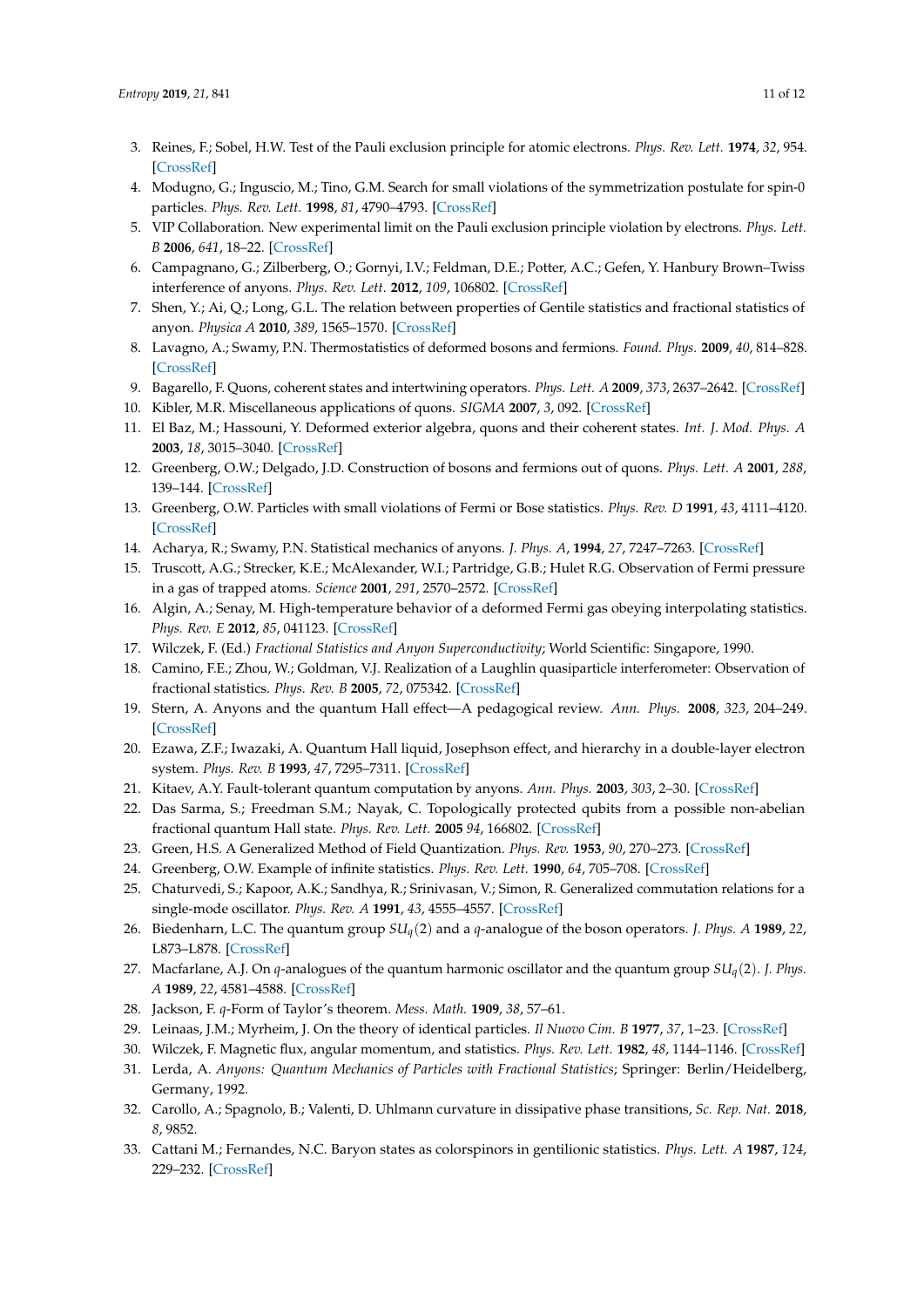- 3. Reines, F.; Sobel, H.W. Test of the Pauli exclusion principle for atomic electrons. *Phys. Rev. Lett.* **1974**, *32*, 954. [\[CrossRef\]](http://dx.doi.org/10.1103/PhysRevLett.32.954)
- 4. Modugno, G.; Inguscio, M.; Tino, G.M. Search for small violations of the symmetrization postulate for spin-0 particles. *Phys. Rev. Lett.* **1998**, *81*, 4790–4793. [\[CrossRef\]](http://dx.doi.org/10.1103/PhysRevLett.81.4790)
- 5. VIP Collaboration. New experimental limit on the Pauli exclusion principle violation by electrons. *Phys. Lett. B* **2006**, *641*, 18–22. [\[CrossRef\]](http://dx.doi.org/10.1016/j.physletb.2006.07.054)
- 6. Campagnano, G.; Zilberberg, O.; Gornyi, I.V.; Feldman, D.E.; Potter, A.C.; Gefen, Y. Hanbury Brown–Twiss interference of anyons. *Phys. Rev. Lett.* **2012**, *109*, 106802. [\[CrossRef\]](http://dx.doi.org/10.1103/PhysRevLett.109.106802)
- 7. Shen, Y.; Ai, Q.; Long, G.L. The relation between properties of Gentile statistics and fractional statistics of anyon. *Physica A* **2010**, *389*, 1565–1570. [\[CrossRef\]](http://dx.doi.org/10.1016/j.physa.2009.12.042)
- 8. Lavagno, A.; Swamy, P.N. Thermostatistics of deformed bosons and fermions. *Found. Phys.* **2009**, *40*, 814–828. [\[CrossRef\]](http://dx.doi.org/10.1007/s10701-009-9363-0)
- 9. Bagarello, F. Quons, coherent states and intertwining operators. *Phys. Lett. A* **2009**, *373*, 2637–2642. [\[CrossRef\]](http://dx.doi.org/10.1016/j.physleta.2009.05.037)
- 10. Kibler, M.R. Miscellaneous applications of quons. *SIGMA* **2007**, *3*, 092. [\[CrossRef\]](http://dx.doi.org/10.3842/SIGMA.2007.092)
- 11. El Baz, M.; Hassouni, Y. Deformed exterior algebra, quons and their coherent states. *Int. J. Mod. Phys. A* **2003**, *18*, 3015–3040. [\[CrossRef\]](http://dx.doi.org/10.1142/S0217751X03015386)
- 12. Greenberg, O.W.; Delgado, J.D. Construction of bosons and fermions out of quons. *Phys. Lett. A* **2001**, *288*, 139–144. [\[CrossRef\]](http://dx.doi.org/10.1016/S0375-9601(01)00552-7)
- 13. Greenberg, O.W. Particles with small violations of Fermi or Bose statistics. *Phys. Rev. D* **1991**, *43*, 4111–4120. [\[CrossRef\]](http://dx.doi.org/10.1103/PhysRevD.43.4111)
- 14. Acharya, R.; Swamy, P.N. Statistical mechanics of anyons. *J. Phys. A*, **1994**, *27*, 7247–7263. [\[CrossRef\]](http://dx.doi.org/10.1088/0305-4470/27/22/005)
- 15. Truscott, A.G.; Strecker, K.E.; McAlexander, W.I.; Partridge, G.B.; Hulet R.G. Observation of Fermi pressure in a gas of trapped atoms. *Science* **2001**, *291*, 2570–2572. [\[CrossRef\]](http://dx.doi.org/10.1126/science.1059318)
- 16. Algin, A.; Senay, M. High-temperature behavior of a deformed Fermi gas obeying interpolating statistics. *Phys. Rev. E* **2012**, *85*, 041123. [\[CrossRef\]](http://dx.doi.org/10.1103/PhysRevE.85.041123)
- 17. Wilczek, F. (Ed.) *Fractional Statistics and Anyon Superconductivity*; World Scientific: Singapore, 1990.
- 18. Camino, F.E.; Zhou, W.; Goldman, V.J. Realization of a Laughlin quasiparticle interferometer: Observation of fractional statistics. *Phys. Rev. B* **2005**, *72*, 075342. [\[CrossRef\]](http://dx.doi.org/10.1103/PhysRevB.72.075342)
- 19. Stern, A. Anyons and the quantum Hall effect—A pedagogical review. *Ann. Phys.* **2008**, *323*, 204–249. [\[CrossRef\]](http://dx.doi.org/10.1016/j.aop.2007.10.008)
- 20. Ezawa, Z.F.; Iwazaki, A. Quantum Hall liquid, Josephson effect, and hierarchy in a double-layer electron system. *Phys. Rev. B* **1993**, *47*, 7295–7311. [\[CrossRef\]](http://dx.doi.org/10.1103/PhysRevB.47.7295)
- 21. Kitaev, A.Y. Fault-tolerant quantum computation by anyons. *Ann. Phys.* **2003**, *303*, 2–30. [\[CrossRef\]](http://dx.doi.org/10.1016/S0003-4916(02)00018-0)
- 22. Das Sarma, S.; Freedman S.M.; Nayak, C. Topologically protected qubits from a possible non-abelian fractional quantum Hall state. *Phys. Rev. Lett.* **2005** *94*, 166802. [\[CrossRef\]](http://dx.doi.org/10.1103/PhysRevLett.94.166802)
- 23. Green, H.S. A Generalized Method of Field Quantization. *Phys. Rev.* **1953**, *90*, 270–273. [\[CrossRef\]](http://dx.doi.org/10.1103/PhysRev.90.270)
- 24. Greenberg, O.W. Example of infinite statistics. *Phys. Rev. Lett.* **1990**, *64*, 705–708. [\[CrossRef\]](http://dx.doi.org/10.1103/PhysRevLett.64.705)
- 25. Chaturvedi, S.; Kapoor, A.K.; Sandhya, R.; Srinivasan, V.; Simon, R. Generalized commutation relations for a single-mode oscillator. *Phys. Rev. A* **1991**, *43*, 4555–4557. [\[CrossRef\]](http://dx.doi.org/10.1103/PhysRevA.43.4555)
- 26. Biedenharn, L.C. The quantum group *SUq*(2) and a *q*-analogue of the boson operators. *J. Phys. A* **1989**, *22*, L873–L878. [\[CrossRef\]](http://dx.doi.org/10.1088/0305-4470/22/18/004)
- 27. Macfarlane, A.J. On *q*-analogues of the quantum harmonic oscillator and the quantum group *SUq*(2). *J. Phys. A* **1989**, *22*, 4581–4588. [\[CrossRef\]](http://dx.doi.org/10.1088/0305-4470/22/21/020)
- 28. Jackson, F. *q*-Form of Taylor's theorem. *Mess. Math.* **1909**, *38*, 57–61.
- 29. Leinaas, J.M.; Myrheim, J. On the theory of identical particles. *Il Nuovo Cim. B* **1977**, *37*, 1–23. [\[CrossRef\]](http://dx.doi.org/10.1007/BF02727953)
- 30. Wilczek, F. Magnetic flux, angular momentum, and statistics. *Phys. Rev. Lett.* **1982**, *48*, 1144–1146. [\[CrossRef\]](http://dx.doi.org/10.1103/PhysRevLett.48.1144)
- 31. Lerda, A. *Anyons: Quantum Mechanics of Particles with Fractional Statistics*; Springer: Berlin/Heidelberg, Germany, 1992.
- 32. Carollo, A.; Spagnolo, B.; Valenti, D. Uhlmann curvature in dissipative phase transitions, *Sc. Rep. Nat.* **2018**, *8*, 9852.
- 33. Cattani M.; Fernandes, N.C. Baryon states as colorspinors in gentilionic statistics. *Phys. Lett. A* **1987**, *124*, 229–232. [\[CrossRef\]](http://dx.doi.org/10.1016/0375-9601(87)90626-8)